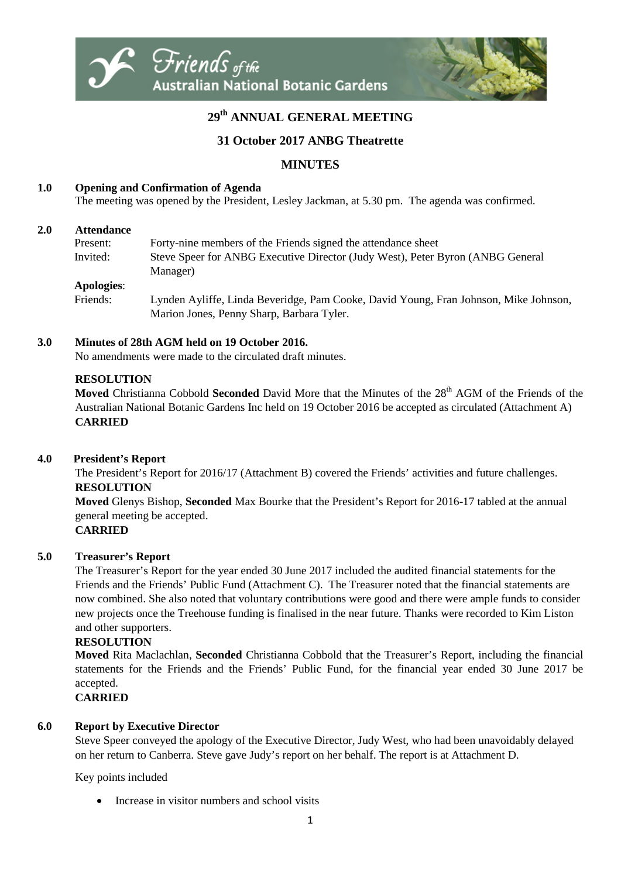

# **29th ANNUAL GENERAL MEETING**

## **31 October 2017 ANBG Theatrette**

## **MINUTES**

### **1.0 Opening and Confirmation of Agenda**

The meeting was opened by the President, Lesley Jackman, at 5.30 pm. The agenda was confirmed.

#### **2.0 Attendance**

| Present:          | Forty-nine members of the Friends signed the attendance sheet                  |
|-------------------|--------------------------------------------------------------------------------|
| Invited:          | Steve Speer for ANBG Executive Director (Judy West), Peter Byron (ANBG General |
|                   | Manager)                                                                       |
| <b>Apologies:</b> |                                                                                |

Friends: Lynden Ayliffe, Linda Beveridge, Pam Cooke, David Young, Fran Johnson, Mike Johnson, Marion Jones, Penny Sharp, Barbara Tyler.

#### **3.0 Minutes of 28th AGM held on 19 October 2016.**

No amendments were made to the circulated draft minutes.

#### **RESOLUTION**

**Moved** Christianna Cobbold **Seconded** David More that the Minutes of the 28<sup>th</sup> AGM of the Friends of the Australian National Botanic Gardens Inc held on 19 October 2016 be accepted as circulated (Attachment A) **CARRIED**

#### **4.0 President's Report**

The President's Report for 2016/17 (Attachment B) covered the Friends' activities and future challenges. **RESOLUTION** 

**Moved** Glenys Bishop, **Seconded** Max Bourke that the President's Report for 2016-17 tabled at the annual general meeting be accepted.

### **CARRIED**

### **5.0 Treasurer's Report**

The Treasurer's Report for the year ended 30 June 2017 included the audited financial statements for the Friends and the Friends' Public Fund (Attachment C). The Treasurer noted that the financial statements are now combined. She also noted that voluntary contributions were good and there were ample funds to consider new projects once the Treehouse funding is finalised in the near future. Thanks were recorded to Kim Liston and other supporters.

### **RESOLUTION**

**Moved** Rita Maclachlan, **Seconded** Christianna Cobbold that the Treasurer's Report, including the financial statements for the Friends and the Friends' Public Fund, for the financial year ended 30 June 2017 be accepted.

**CARRIED**

## **6.0 Report by Executive Director**

Steve Speer conveyed the apology of the Executive Director, Judy West, who had been unavoidably delayed on her return to Canberra. Steve gave Judy's report on her behalf. The report is at Attachment D.

Key points included

Increase in visitor numbers and school visits